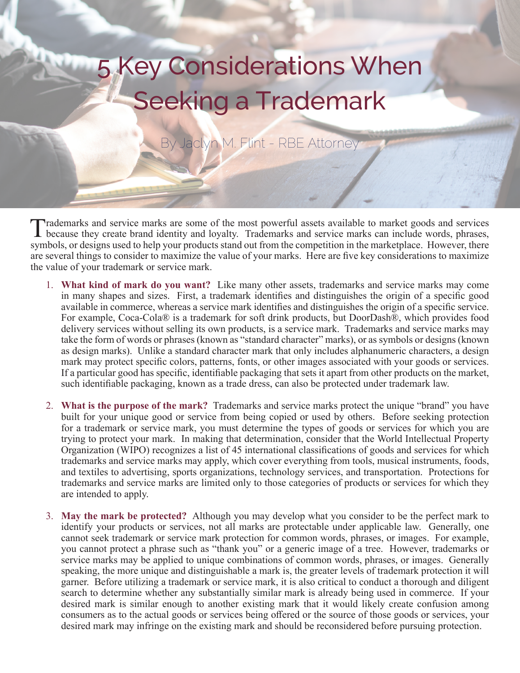## 5 Key Considerations When Seeking a Trademark

By Jaclyn M. Flint - RBE Attorney

Trademarks and service marks are some of the most powerful assets available to market goods and services because they create brand identity and loyalty. Trademarks and service marks can include words, phrases, symbols, or designs used to help your products stand out from the competition in the marketplace. However, there are several things to consider to maximize the value of your marks. Here are five key considerations to maximize the value of your trademark or service mark.

- 1. **What kind of mark do you want?** Like many other assets, trademarks and service marks may come in many shapes and sizes. First, a trademark identifies and distinguishes the origin of a specific good available in commerce, whereas a service mark identifies and distinguishes the origin of a specific service. For example, Coca-Cola® is a trademark for soft drink products, but DoorDash®, which provides food delivery services without selling its own products, is a service mark. Trademarks and service marks may take the form of words or phrases (known as "standard character" marks), or as symbols or designs (known as design marks). Unlike a standard character mark that only includes alphanumeric characters, a design mark may protect specific colors, patterns, fonts, or other images associated with your goods or services. If a particular good has specific, identifiable packaging that sets it apart from other products on the market, such identifiable packaging, known as a trade dress, can also be protected under trademark law.
- 2. **What is the purpose of the mark?** Trademarks and service marks protect the unique "brand" you have built for your unique good or service from being copied or used by others. Before seeking protection for a trademark or service mark, you must determine the types of goods or services for which you are trying to protect your mark. In making that determination, consider that the World Intellectual Property Organization (WIPO) recognizes a list of 45 international classifications of goods and services for which trademarks and service marks may apply, which cover everything from tools, musical instruments, foods, and textiles to advertising, sports organizations, technology services, and transportation. Protections for trademarks and service marks are limited only to those categories of products or services for which they are intended to apply.
- 3. **May the mark be protected?** Although you may develop what you consider to be the perfect mark to identify your products or services, not all marks are protectable under applicable law. Generally, one cannot seek trademark or service mark protection for common words, phrases, or images. For example, you cannot protect a phrase such as "thank you" or a generic image of a tree. However, trademarks or service marks may be applied to unique combinations of common words, phrases, or images. Generally speaking, the more unique and distinguishable a mark is, the greater levels of trademark protection it will garner. Before utilizing a trademark or service mark, it is also critical to conduct a thorough and diligent search to determine whether any substantially similar mark is already being used in commerce. If your desired mark is similar enough to another existing mark that it would likely create confusion among consumers as to the actual goods or services being offered or the source of those goods or services, your desired mark may infringe on the existing mark and should be reconsidered before pursuing protection.